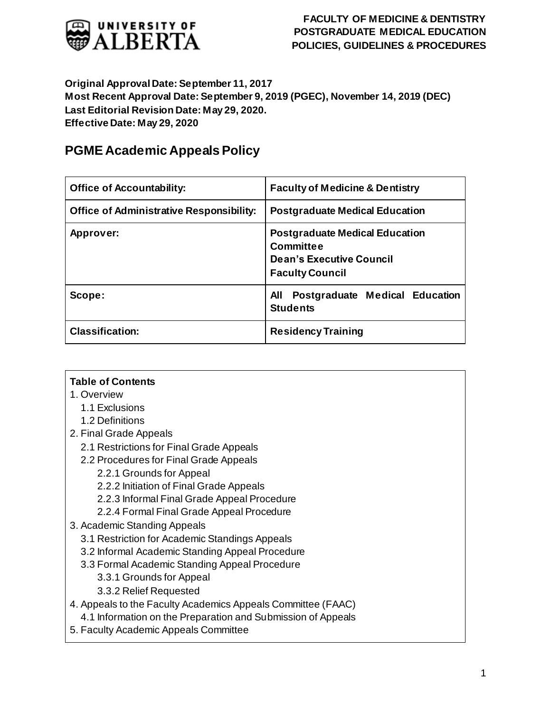

#### **Original Approval Date: September 11, 2017 Most Recent Approval Date: September 9, 2019 (PGEC), November 14, 2019 (DEC) Last Editorial Revision Date: May 29, 2020. Effective Date: May 29, 2020**

# **PGME Academic Appeals Policy**

| <b>Office of Accountability:</b>                | <b>Faculty of Medicine &amp; Dentistry</b>                                                                             |
|-------------------------------------------------|------------------------------------------------------------------------------------------------------------------------|
| <b>Office of Administrative Responsibility:</b> | <b>Postgraduate Medical Education</b>                                                                                  |
| Approver:                                       | <b>Postgraduate Medical Education</b><br><b>Committee</b><br><b>Dean's Executive Council</b><br><b>Faculty Council</b> |
| Scope:                                          | Postgraduate Medical Education<br>All<br><b>Students</b>                                                               |
| <b>Classification:</b>                          | <b>Residency Training</b>                                                                                              |

#### **Table of Contents**

- 1. Overview
	- 1.1 Exclusions
	- 1.2 Definitions
- 2. Final Grade Appeals
	- 2.1 Restrictions for Final Grade Appeals
	- 2.2 Procedures for Final Grade Appeals
		- 2.2.1 Grounds for Appeal
		- 2.2.2 Initiation of Final Grade Appeals
		- 2.2.3 Informal Final Grade Appeal Procedure
		- 2.2.4 Formal Final Grade Appeal Procedure
- 3. Academic Standing Appeals
	- 3.1 Restriction for Academic Standings Appeals
	- 3.2 Informal Academic Standing Appeal Procedure
	- 3.3 Formal Academic Standing Appeal Procedure
		- 3.3.1 Grounds for Appeal
		- 3.3.2 Relief Requested
- 4. Appeals to the Faculty Academics Appeals Committee (FAAC) 4.1 Information on the Preparation and Submission of Appeals
- 5. Faculty Academic Appeals Committee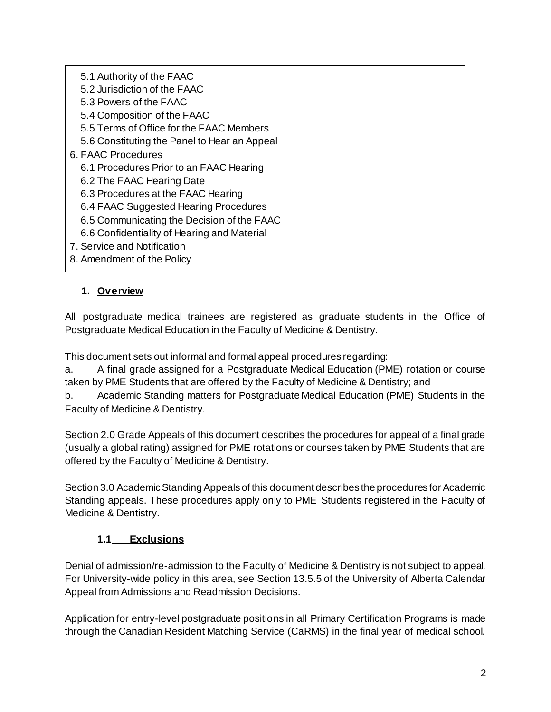5.1 Authority of the FAAC 5.2 Jurisdiction of the FAAC 5.3 Powers of the FAAC 5.4 Composition of the FAAC 5.5 Terms of Office for the FAAC Members 5.6 Constituting the Panel to Hear an Appeal 6. FAAC Procedures 6.1 Procedures Prior to an FAAC Hearing 6.2 The FAAC Hearing Date 6.3 Procedures at the FAAC Hearing 6.4 FAAC Suggested Hearing Procedures 6.5 Communicating the Decision of the FAAC 6.6 Confidentiality of Hearing and Material 7. Service and Notification 8. Amendment of the Policy

### **1. Overview**

All postgraduate medical trainees are registered as graduate students in the Office of Postgraduate Medical Education in the Faculty of Medicine & Dentistry.

This document sets out informal and formal appeal procedures regarding:

a. A final grade assigned for a Postgraduate Medical Education (PME) rotation or course taken by PME Students that are offered by the Faculty of Medicine & Dentistry; and

b. Academic Standing matters for Postgraduate Medical Education (PME) Students in the Faculty of Medicine & Dentistry.

Section 2.0 Grade Appeals of this document describes the procedures for appeal of a final grade (usually a global rating) assigned for PME rotations or courses taken by PME Students that are offered by the Faculty of Medicine & Dentistry.

Section 3.0 Academic Standing Appeals of this document describes the procedures for Academic Standing appeals. These procedures apply only to PME Students registered in the Faculty of Medicine & Dentistry.

#### **1.1 Exclusions**

Denial of admission/re-admission to the Faculty of Medicine & Dentistry is not subject to appeal. For University-wide policy in this area, see Section 13.5.5 of the University of Alberta Calendar Appeal from Admissions and Readmission Decisions.

Application for entry-level postgraduate positions in all Primary Certification Programs is made through the Canadian Resident Matching Service (CaRMS) in the final year of medical school.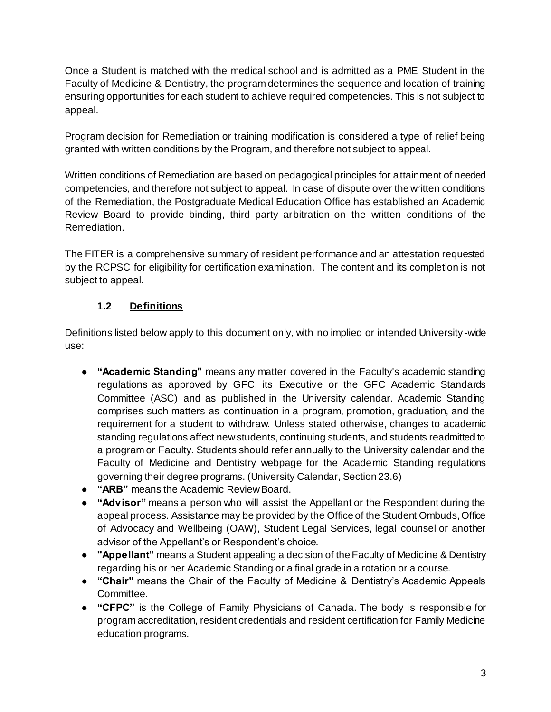Once a Student is matched with the medical school and is admitted as a PME Student in the Faculty of Medicine & Dentistry, the program determines the sequence and location of training ensuring opportunities for each student to achieve required competencies. This is not subject to appeal.

Program decision for Remediation or training modification is considered a type of relief being granted with written conditions by the Program, and therefore not subject to appeal.

Written conditions of Remediation are based on pedagogical principles for attainment of needed competencies, and therefore not subject to appeal. In case of dispute over the written conditions of the Remediation, the Postgraduate Medical Education Office has established an Academic Review Board to provide binding, third party arbitration on the written conditions of the Remediation.

The FITER is a comprehensive summary of resident performance and an attestation requested by the RCPSC for eligibility for certification examination. The content and its completion is not subject to appeal.

## **1.2 Definitions**

Definitions listed below apply to this document only, with no implied or intended University-wide use:

- **"Academic Standing"** means any matter covered in the Faculty's academic standing regulations as approved by GFC, its Executive or the GFC Academic Standards Committee (ASC) and as published in the University calendar. Academic Standing comprises such matters as continuation in a program, promotion, graduation, and the requirement for a student to withdraw. Unless stated otherwise, changes to academic standing regulations affect new students, continuing students, and students readmitted to a program or Faculty. Students should refer annually to the University calendar and the Faculty of Medicine and Dentistry webpage for the Academic Standing regulations governing their degree programs. (University Calendar, Section 23.6)
- **"ARB"** means the Academic Review Board.
- **"Advisor"** means a person who will assist the Appellant or the Respondent during the appeal process. Assistance may be provided by the Office of the Student Ombuds, Office of Advocacy and Wellbeing (OAW), Student Legal Services, legal counsel or another advisor of the Appellant's or Respondent's choice.
- **"Appellant"** means a Student appealing a decision of the Faculty of Medicine & Dentistry regarding his or her Academic Standing or a final grade in a rotation or a course.
- **"Chair"** means the Chair of the Faculty of Medicine & Dentistry's Academic Appeals Committee.
- **"CFPC"** is the College of Family Physicians of Canada. The body is responsible for program accreditation, resident credentials and resident certification for Family Medicine education programs.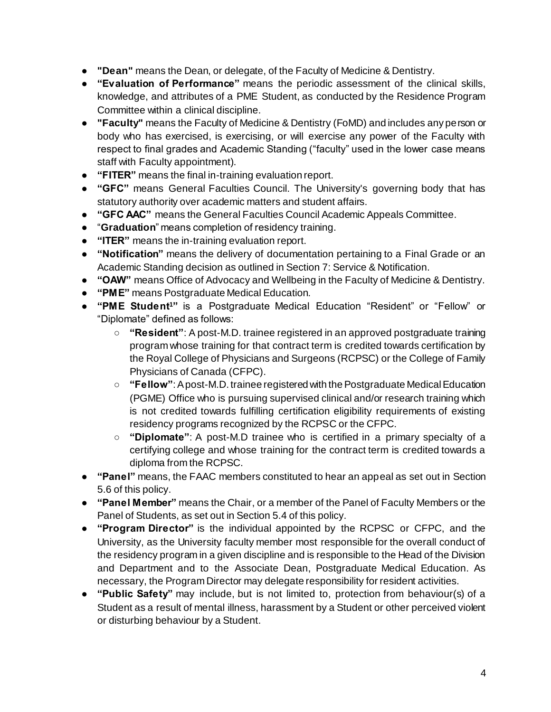- **"Dean"** means the Dean, or delegate, of the Faculty of Medicine & Dentistry.
- **"Evaluation of Performance"** means the periodic assessment of the clinical skills, knowledge, and attributes of a PME Student, as conducted by the Residence Program Committee within a clinical discipline.
- **"Faculty"** means the Faculty of Medicine & Dentistry (FoMD) and includes any person or body who has exercised, is exercising, or will exercise any power of the Faculty with respect to final grades and Academic Standing ("faculty" used in the lower case means staff with Faculty appointment).
- **"FITER"** means the final in-training evaluation report.
- **"GFC"** means General Faculties Council. The University's governing body that has statutory authority over academic matters and student affairs.
- **"GFC AAC"** means the General Faculties Council Academic Appeals Committee.
- "**Graduation**" means completion of residency training.
- **"ITER"** means the in-training evaluation report.
- **"Notification"** means the delivery of documentation pertaining to a Final Grade or an Academic Standing decision as outlined in Section 7: Service & Notification.
- **"OAW"** means Office of Advocacy and Wellbeing in the Faculty of Medicine & Dentistry.
- **"PME"** means Postgraduate Medical Education.
- **"PME Student1"** is a Postgraduate Medical Education "Resident" or "Fellow" or "Diplomate" defined as follows:
	- **"Resident"**: A post-M.D. trainee registered in an approved postgraduate training program whose training for that contract term is credited towards certification by the Royal College of Physicians and Surgeons (RCPSC) or the College of Family Physicians of Canada (CFPC).
	- **"Fellow"**: A post-M.D. trainee registered with the Postgraduate Medical Education (PGME) Office who is pursuing supervised clinical and/or research training which is not credited towards fulfilling certification eligibility requirements of existing residency programs recognized by the RCPSC or the CFPC.
	- **"Diplomate"**: A post-M.D trainee who is certified in a primary specialty of a certifying college and whose training for the contract term is credited towards a diploma from the RCPSC.
- **"Panel"** means, the FAAC members constituted to hear an appeal as set out in Section 5.6 of this policy.
- **"Panel Member"** means the Chair, or a member of the Panel of Faculty Members or the Panel of Students, as set out in Section 5.4 of this policy.
- **"Program Director"** is the individual appointed by the RCPSC or CFPC, and the University, as the University faculty member most responsible for the overall conduct of the residency program in a given discipline and is responsible to the Head of the Division and Department and to the Associate Dean, Postgraduate Medical Education. As necessary, the Program Director may delegate responsibility for resident activities.
- **"Public Safety"** may include, but is not limited to, protection from behaviour(s) of a Student as a result of mental illness, harassment by a Student or other perceived violent or disturbing behaviour by a Student.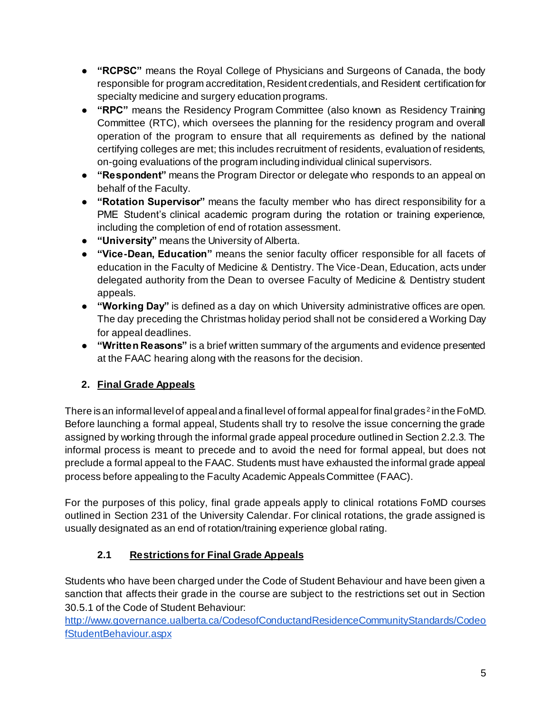- **"RCPSC"** means the Royal College of Physicians and Surgeons of Canada, the body responsible for program accreditation, Resident credentials, and Resident certification for specialty medicine and surgery education programs.
- **"RPC"** means the Residency Program Committee (also known as Residency Training Committee (RTC), which oversees the planning for the residency program and overall operation of the program to ensure that all requirements as defined by the national certifying colleges are met; this includes recruitment of residents, evaluation of residents, on-going evaluations of the program including individual clinical supervisors.
- **"Respondent"** means the Program Director or delegate who responds to an appeal on behalf of the Faculty.
- **"Rotation Supervisor"** means the faculty member who has direct responsibility for a PME Student's clinical academic program during the rotation or training experience, including the completion of end of rotation assessment.
- **"University"** means the University of Alberta.
- **"Vice-Dean, Education"** means the senior faculty officer responsible for all facets of education in the Faculty of Medicine & Dentistry. The Vice-Dean, Education, acts under delegated authority from the Dean to oversee Faculty of Medicine & Dentistry student appeals.
- **"Working Day"** is defined as a day on which University administrative offices are open. The day preceding the Christmas holiday period shall not be considered a Working Day for appeal deadlines.
- **"Written Reasons"** is a brief written summary of the arguments and evidence presented at the FAAC hearing along with the reasons for the decision.

## **2. Final Grade Appeals**

There is an informal level of appeal and a final level of formal appeal for final grades<sup>2</sup> in the FoMD. Before launching a formal appeal, Students shall try to resolve the issue concerning the grade assigned by working through the informal grade appeal procedure outlined in Section 2.2.3. The informal process is meant to precede and to avoid the need for formal appeal, but does not preclude a formal appeal to the FAAC. Students must have exhausted the informal grade appeal process before appealing to the Faculty Academic Appeals Committee (FAAC).

For the purposes of this policy, final grade appeals apply to clinical rotations FoMD courses outlined in Section 231 of the University Calendar. For clinical rotations, the grade assigned is usually designated as an end of rotation/training experience global rating.

## **2.1 Restrictions for Final Grade Appeals**

Students who have been charged under the Code of Student Behaviour and have been given a sanction that affects their grade in the course are subject to the restrictions set out in Section 30.5.1 of the Code of Student Behaviour:

[http://www.governance.ualberta.ca/CodesofConductandResidenceCommunityStandards/Codeo](http://www.governance.ualberta.ca/CodesofConductandResidenceCommunityStandards/CodeofStudentBehaviour.aspx) [fStudentBehaviour.aspx](http://www.governance.ualberta.ca/CodesofConductandResidenceCommunityStandards/CodeofStudentBehaviour.aspx)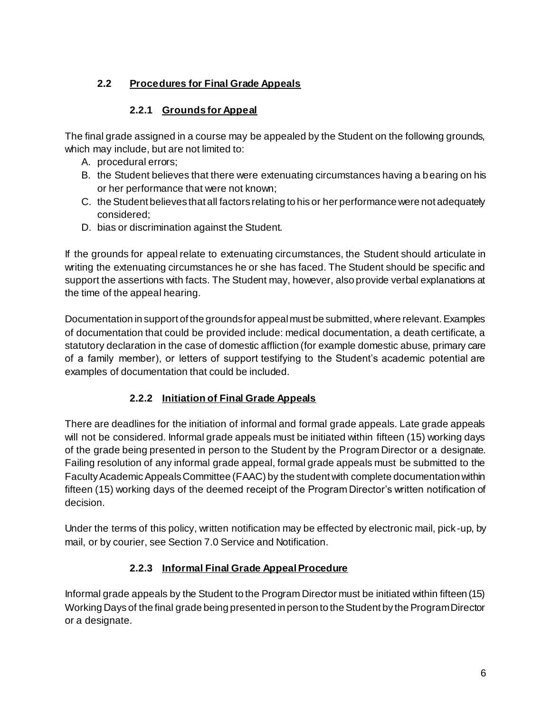## **2.2 Procedures for Final Grade Appeals**

### **2.2.1 Grounds for Appeal**

The final grade assigned in a course may be appealed by the Student on the following grounds, which may include, but are not limited to:

- A. procedural errors;
- B. the Student believes that there were extenuating circumstances having a bearing on his or her performance that were not known;
- C. the Student believes that all factors relating to his or her performance were not adequately considered;
- D. bias or discrimination against the Student.

If the grounds for appeal relate to extenuating circumstances, the Student should articulate in writing the extenuating circumstances he or she has faced. The Student should be specific and support the assertions with facts. The Student may, however, also provide verbal explanations at the time of the appeal hearing.

Documentation in support of the grounds for appeal must be submitted, where relevant. Examples of documentation that could be provided include: medical documentation, a death certificate, a statutory declaration in the case of domestic affliction (for example domestic abuse, primary care of a family member), or letters of support testifying to the Student's academic potential are examples of documentation that could be included.

## **2.2.2 Initiation of Final Grade Appeals**

There are deadlines for the initiation of informal and formal grade appeals. Late grade appeals will not be considered. Informal grade appeals must be initiated within fifteen (15) working days of the grade being presented in person to the Student by the Program Director or a designate. Failing resolution of any informal grade appeal, formal grade appeals must be submitted to the Faculty Academic Appeals Committee (FAAC) by the student with complete documentation within fifteen (15) working days of the deemed receipt of the Program Director's written notification of decision.

Under the terms of this policy, written notification may be effected by electronic mail, pick-up, by mail, or by courier, see Section 7.0 Service and Notification.

## **2.2.3 Informal Final Grade Appeal Procedure**

Informal grade appeals by the Student to the Program Director must be initiated within fifteen (15) Working Days of the final grade being presented in person to the Student by the Program Director or a designate.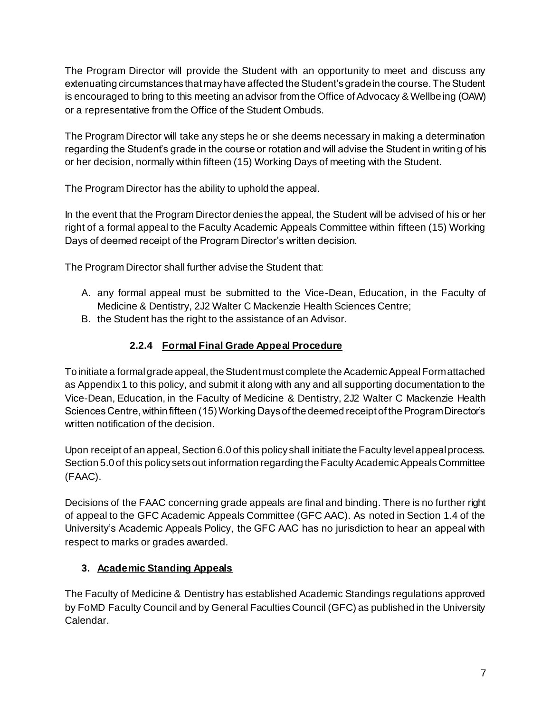The Program Director will provide the Student with an opportunity to meet and discuss any extenuating circumstances that may have affected the Student's grade in the course. The Student is encouraged to bring to this meeting an advisor from the Office of Advocacy & Wellbeing (OAW) or a representative from the Office of the Student Ombuds.

The Program Director will take any steps he or she deems necessary in making a determination regarding the Student's grade in the course or rotation and will advise the Student in writing of his or her decision, normally within fifteen (15) Working Days of meeting with the Student.

The Program Director has the ability to uphold the appeal.

In the event that the Program Director denies the appeal, the Student will be advised of his or her right of a formal appeal to the Faculty Academic Appeals Committee within fifteen (15) Working Days of deemed receipt of the Program Director's written decision.

The Program Director shall further advise the Student that:

- A. any formal appeal must be submitted to the Vice-Dean, Education, in the Faculty of Medicine & Dentistry, 2J2 Walter C Mackenzie Health Sciences Centre;
- B. the Student has the right to the assistance of an Advisor.

## **2.2.4 Formal Final Grade Appeal Procedure**

To initiate a formal grade appeal, the Student must complete the Academic Appeal Form attached as Appendix 1 to this policy, and submit it along with any and all supporting documentation to the Vice-Dean, Education, in the Faculty of Medicine & Dentistry, 2J2 Walter C Mackenzie Health Sciences Centre, within fifteen (15) Working Days of the deemed receipt of the Program Director's written notification of the decision.

Upon receipt of an appeal, Section 6.0 of this policy shall initiate the Faculty level appeal process. Section 5.0 of this policy sets out information regarding the Faculty Academic Appeals Committee (FAAC).

Decisions of the FAAC concerning grade appeals are final and binding. There is no further right of appeal to the GFC Academic Appeals Committee (GFC AAC). As noted in Section 1.4 of the University's Academic Appeals Policy, the GFC AAC has no jurisdiction to hear an appeal with respect to marks or grades awarded.

## **3. Academic Standing Appeals**

The Faculty of Medicine & Dentistry has established Academic Standings regulations approved by FoMD Faculty Council and by General Faculties Council (GFC) as published in the University Calendar.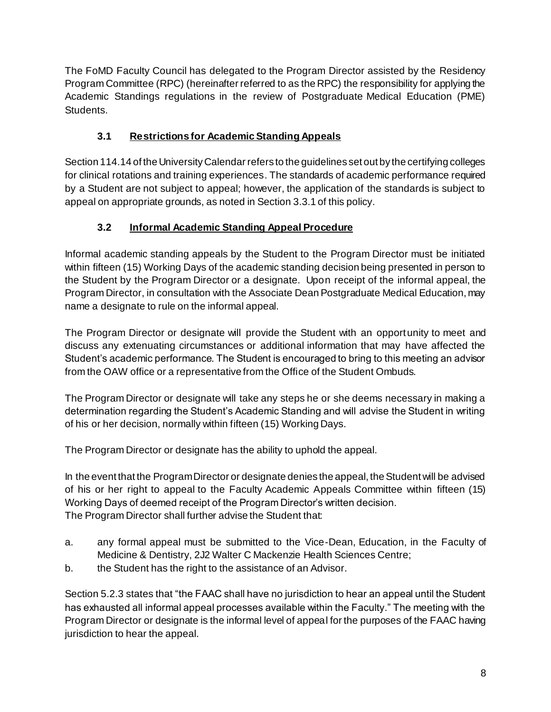The FoMD Faculty Council has delegated to the Program Director assisted by the Residency Program Committee (RPC) (hereinafter referred to as the RPC) the responsibility for applying the Academic Standings regulations in the review of Postgraduate Medical Education (PME) Students.

# **3.1 Restrictions for Academic Standing Appeals**

Section 114.14 of the University Calendar refers to the guidelines set out by the certifying colleges for clinical rotations and training experiences. The standards of academic performance required by a Student are not subject to appeal; however, the application of the standards is subject to appeal on appropriate grounds, as noted in Section 3.3.1 of this policy.

# **3.2 Informal Academic Standing Appeal Procedure**

Informal academic standing appeals by the Student to the Program Director must be initiated within fifteen (15) Working Days of the academic standing decision being presented in person to the Student by the Program Director or a designate. Upon receipt of the informal appeal, the Program Director, in consultation with the Associate Dean Postgraduate Medical Education, may name a designate to rule on the informal appeal.

The Program Director or designate will provide the Student with an opportunity to meet and discuss any extenuating circumstances or additional information that may have affected the Student's academic performance. The Student is encouraged to bring to this meeting an advisor from the OAW office or a representative from the Office of the Student Ombuds.

The Program Director or designate will take any steps he or she deems necessary in making a determination regarding the Student's Academic Standing and will advise the Student in writing of his or her decision, normally within fifteen (15) Working Days.

The Program Director or designate has the ability to uphold the appeal.

In the event that the Program Director or designate denies the appeal, the Student will be advised of his or her right to appeal to the Faculty Academic Appeals Committee within fifteen (15) Working Days of deemed receipt of the Program Director's written decision. The Program Director shall further advise the Student that:

- a. any formal appeal must be submitted to the Vice-Dean, Education, in the Faculty of Medicine & Dentistry, 2J2 Walter C Mackenzie Health Sciences Centre;
- b. the Student has the right to the assistance of an Advisor.

Section 5.2.3 states that "the FAAC shall have no jurisdiction to hear an appeal until the Student has exhausted all informal appeal processes available within the Faculty." The meeting with the Program Director or designate is the informal level of appeal for the purposes of the FAAC having jurisdiction to hear the appeal.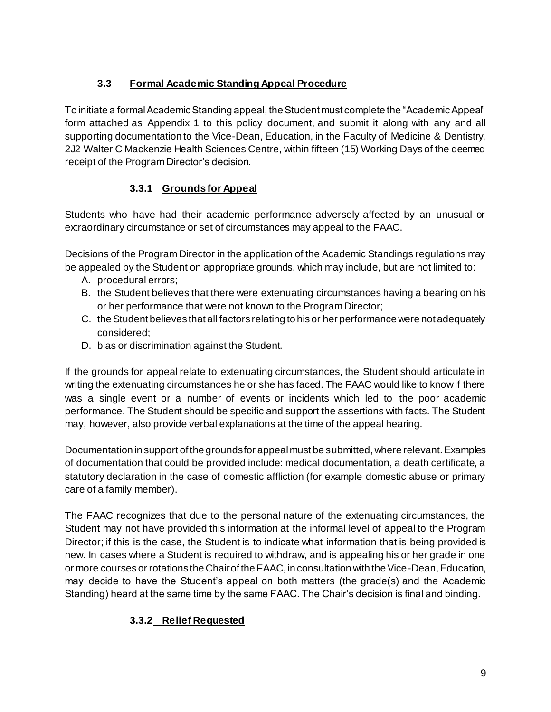## **3.3 Formal Academic Standing Appeal Procedure**

To initiate a formal Academic Standing appeal, the Student must complete the "Academic Appeal" form attached as Appendix 1 to this policy document, and submit it along with any and all supporting documentation to the Vice-Dean, Education, in the Faculty of Medicine & Dentistry, 2J2 Walter C Mackenzie Health Sciences Centre, within fifteen (15) Working Days of the deemed receipt of the Program Director's decision.

# **3.3.1 Grounds for Appeal**

Students who have had their academic performance adversely affected by an unusual or extraordinary circumstance or set of circumstances may appeal to the FAAC.

Decisions of the Program Director in the application of the Academic Standings regulations may be appealed by the Student on appropriate grounds, which may include, but are not limited to:

- A. procedural errors;
- B. the Student believes that there were extenuating circumstances having a bearing on his or her performance that were not known to the Program Director;
- C. the Student believes that all factors relating to his or her performance were not adequately considered;
- D. bias or discrimination against the Student.

If the grounds for appeal relate to extenuating circumstances, the Student should articulate in writing the extenuating circumstances he or she has faced. The FAAC would like to know if there was a single event or a number of events or incidents which led to the poor academic performance. The Student should be specific and support the assertions with facts. The Student may, however, also provide verbal explanations at the time of the appeal hearing.

Documentation in support of the grounds for appeal must be submitted, where relevant. Examples of documentation that could be provided include: medical documentation, a death certificate, a statutory declaration in the case of domestic affliction (for example domestic abuse or primary care of a family member).

The FAAC recognizes that due to the personal nature of the extenuating circumstances, the Student may not have provided this information at the informal level of appeal to the Program Director; if this is the case, the Student is to indicate what information that is being provided is new. In cases where a Student is required to withdraw, and is appealing his or her grade in one or more courses or rotations the Chair of the FAAC, in consultation with the Vice-Dean, Education, may decide to have the Student's appeal on both matters (the grade(s) and the Academic Standing) heard at the same time by the same FAAC. The Chair's decision is final and binding.

# **3.3.2 Relief Requested**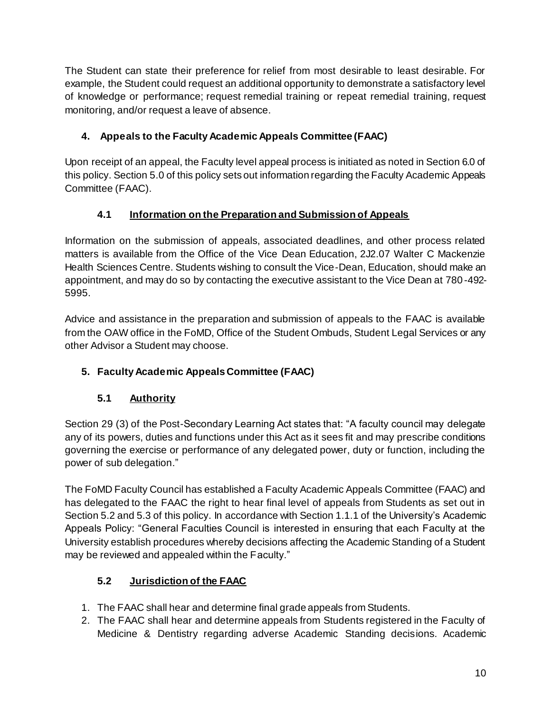The Student can state their preference for relief from most desirable to least desirable. For example, the Student could request an additional opportunity to demonstrate a satisfactory level of knowledge or performance; request remedial training or repeat remedial training, request monitoring, and/or request a leave of absence.

# **4. Appeals to the Faculty Academic Appeals Committee (FAAC)**

Upon receipt of an appeal, the Faculty level appeal process is initiated as noted in Section 6.0 of this policy. Section 5.0 of this policy sets out information regarding the Faculty Academic Appeals Committee (FAAC).

# **4.1 Information on the Preparation and Submission of Appeals**

Information on the submission of appeals, associated deadlines, and other process related matters is available from the Office of the Vice Dean Education, 2J2.07 Walter C Mackenzie Health Sciences Centre. Students wishing to consult the Vice-Dean, Education, should make an appointment, and may do so by contacting the executive assistant to the Vice Dean at 780-492- 5995.

Advice and assistance in the preparation and submission of appeals to the FAAC is available from the OAW office in the FoMD, Office of the Student Ombuds, Student Legal Services or any other Advisor a Student may choose.

# **5. Faculty Academic Appeals Committee (FAAC)**

# **5.1 Authority**

Section 29 (3) of the Post-Secondary Learning Act states that: "A faculty council may delegate any of its powers, duties and functions under this Act as it sees fit and may prescribe conditions governing the exercise or performance of any delegated power, duty or function, including the power of sub delegation."

The FoMD Faculty Council has established a Faculty Academic Appeals Committee (FAAC) and has delegated to the FAAC the right to hear final level of appeals from Students as set out in Section 5.2 and 5.3 of this policy. In accordance with Section 1.1.1 of the University's Academic Appeals Policy: "General Faculties Council is interested in ensuring that each Faculty at the University establish procedures whereby decisions affecting the Academic Standing of a Student may be reviewed and appealed within the Faculty."

# **5.2 Jurisdiction of the FAAC**

- 1. The FAAC shall hear and determine final grade appeals from Students.
- 2. The FAAC shall hear and determine appeals from Students registered in the Faculty of Medicine & Dentistry regarding adverse Academic Standing decisions. Academic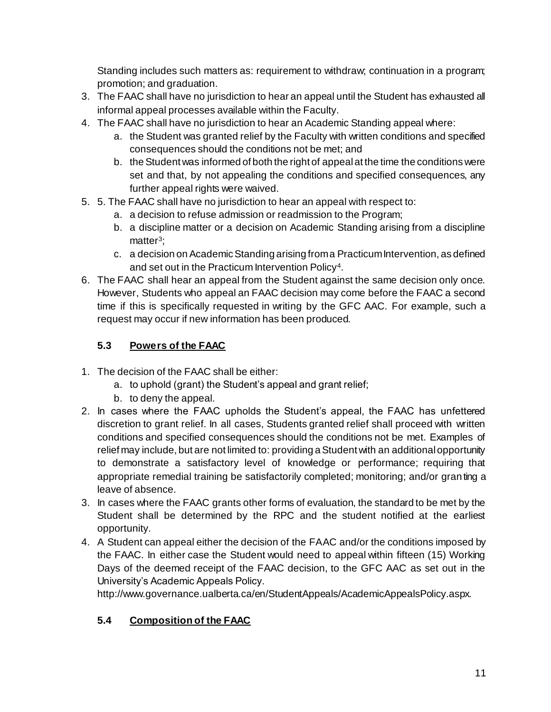Standing includes such matters as: requirement to withdraw; continuation in a program; promotion; and graduation.

- 3. The FAAC shall have no jurisdiction to hear an appeal until the Student has exhausted all informal appeal processes available within the Faculty.
- 4. The FAAC shall have no jurisdiction to hear an Academic Standing appeal where:
	- a. the Student was granted relief by the Faculty with written conditions and specified consequences should the conditions not be met; and
	- b. the Student was informed of both the right of appeal at the time the conditions were set and that, by not appealing the conditions and specified consequences, any further appeal rights were waived.
- 5. 5. The FAAC shall have no jurisdiction to hear an appeal with respect to:
	- a. a decision to refuse admission or readmission to the Program;
	- b. a discipline matter or a decision on Academic Standing arising from a discipline matter<sup>3</sup>;
	- c. a decision on Academic Standing arising from a Practicum Intervention, as defined and set out in the Practicum Intervention Policy<sup>4</sup>.
- 6. The FAAC shall hear an appeal from the Student against the same decision only once. However, Students who appeal an FAAC decision may come before the FAAC a second time if this is specifically requested in writing by the GFC AAC. For example, such a request may occur if new information has been produced.

# **5.3 Powers of the FAAC**

- 1. The decision of the FAAC shall be either:
	- a. to uphold (grant) the Student's appeal and grant relief;
	- b. to deny the appeal.
- 2. In cases where the FAAC upholds the Student's appeal, the FAAC has unfettered discretion to grant relief. In all cases, Students granted relief shall proceed with written conditions and specified consequences should the conditions not be met. Examples of relief may include, but are not limited to: providing a Student with an additional opportunity to demonstrate a satisfactory level of knowledge or performance; requiring that appropriate remedial training be satisfactorily completed; monitoring; and/or granting a leave of absence.
- 3. In cases where the FAAC grants other forms of evaluation, the standard to be met by the Student shall be determined by the RPC and the student notified at the earliest opportunity.
- 4. A Student can appeal either the decision of the FAAC and/or the conditions imposed by the FAAC. In either case the Student would need to appeal within fifteen (15) Working Days of the deemed receipt of the FAAC decision, to the GFC AAC as set out in the University's Academic Appeals Policy.

http://www.governance.ualberta.ca/en/StudentAppeals/AcademicAppealsPolicy.aspx.

# **5.4 Composition of the FAAC**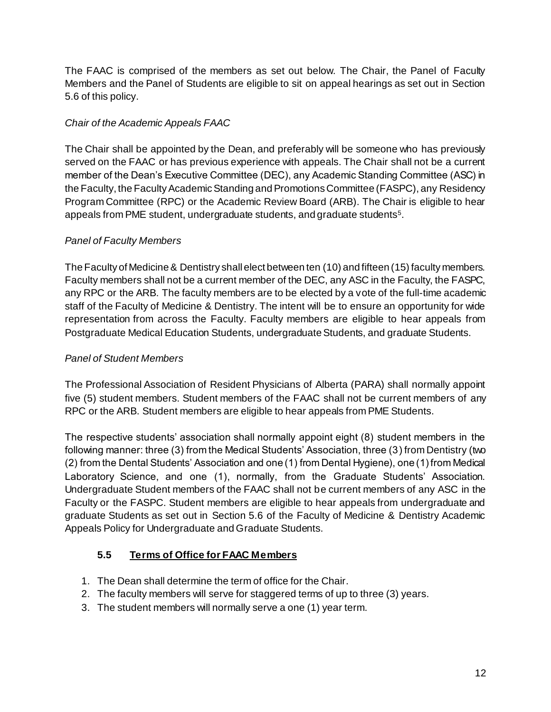The FAAC is comprised of the members as set out below. The Chair, the Panel of Faculty Members and the Panel of Students are eligible to sit on appeal hearings as set out in Section 5.6 of this policy.

#### *Chair of the Academic Appeals FAAC*

The Chair shall be appointed by the Dean, and preferably will be someone who has previously served on the FAAC or has previous experience with appeals. The Chair shall not be a current member of the Dean's Executive Committee (DEC), any Academic Standing Committee (ASC) in the Faculty, the Faculty Academic Standing and Promotions Committee (FASPC), any Residency Program Committee (RPC) or the Academic Review Board (ARB). The Chair is eligible to hear appeals from PME student, undergraduate students, and graduate students<sup>5</sup>.

#### *Panel of Faculty Members*

The Faculty of Medicine & Dentistry shall elect between ten (10) and fifteen (15) faculty members. Faculty members shall not be a current member of the DEC, any ASC in the Faculty, the FASPC, any RPC or the ARB. The faculty members are to be elected by a vote of the full-time academic staff of the Faculty of Medicine & Dentistry. The intent will be to ensure an opportunity for wide representation from across the Faculty. Faculty members are eligible to hear appeals from Postgraduate Medical Education Students, undergraduate Students, and graduate Students.

#### *Panel of Student Members*

The Professional Association of Resident Physicians of Alberta (PARA) shall normally appoint five (5) student members. Student members of the FAAC shall not be current members of any RPC or the ARB. Student members are eligible to hear appeals from PME Students.

The respective students' association shall normally appoint eight (8) student members in the following manner: three (3) from the Medical Students' Association, three (3) from Dentistry (two (2) from the Dental Students' Association and one (1) from Dental Hygiene), one (1) from Medical Laboratory Science, and one (1), normally, from the Graduate Students' Association. Undergraduate Student members of the FAAC shall not be current members of any ASC in the Faculty or the FASPC. Student members are eligible to hear appeals from undergraduate and graduate Students as set out in Section 5.6 of the Faculty of Medicine & Dentistry Academic Appeals Policy for Undergraduate and Graduate Students.

#### **5.5 Terms of Office for FAAC Members**

- 1. The Dean shall determine the term of office for the Chair.
- 2. The faculty members will serve for staggered terms of up to three (3) years.
- 3. The student members will normally serve a one (1) year term.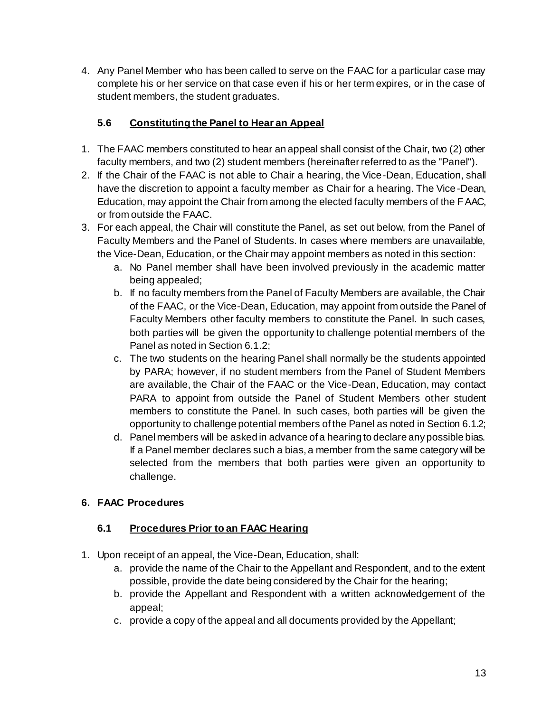4. Any Panel Member who has been called to serve on the FAAC for a particular case may complete his or her service on that case even if his or her term expires, or in the case of student members, the student graduates.

## **5.6 Constituting the Panel to Hear an Appeal**

- 1. The FAAC members constituted to hear an appeal shall consist of the Chair, two (2) other faculty members, and two (2) student members (hereinafter referred to as the "Panel").
- 2. If the Chair of the FAAC is not able to Chair a hearing, the Vice-Dean, Education, shall have the discretion to appoint a faculty member as Chair for a hearing. The Vice-Dean, Education, may appoint the Chair from among the elected faculty members of the FAAC, or from outside the FAAC.
- 3. For each appeal, the Chair will constitute the Panel, as set out below, from the Panel of Faculty Members and the Panel of Students. In cases where members are unavailable, the Vice-Dean, Education, or the Chair may appoint members as noted in this section:
	- a. No Panel member shall have been involved previously in the academic matter being appealed;
	- b. If no faculty members from the Panel of Faculty Members are available, the Chair of the FAAC, or the Vice-Dean, Education, may appoint from outside the Panel of Faculty Members other faculty members to constitute the Panel. In such cases, both parties will be given the opportunity to challenge potential members of the Panel as noted in Section 6.1.2;
	- c. The two students on the hearing Panel shall normally be the students appointed by PARA; however, if no student members from the Panel of Student Members are available, the Chair of the FAAC or the Vice-Dean, Education, may contact PARA to appoint from outside the Panel of Student Members other student members to constitute the Panel. In such cases, both parties will be given the opportunity to challenge potential members of the Panel as noted in Section 6.1.2;
	- d. Panel members will be asked in advance of a hearing to declare any possible bias. If a Panel member declares such a bias, a member from the same category will be selected from the members that both parties were given an opportunity to challenge.

## **6. FAAC Procedures**

## **6.1 Procedures Prior to an FAAC Hearing**

- 1. Upon receipt of an appeal, the Vice-Dean, Education, shall:
	- a. provide the name of the Chair to the Appellant and Respondent, and to the extent possible, provide the date being considered by the Chair for the hearing;
	- b. provide the Appellant and Respondent with a written acknowledgement of the appeal;
	- c. provide a copy of the appeal and all documents provided by the Appellant;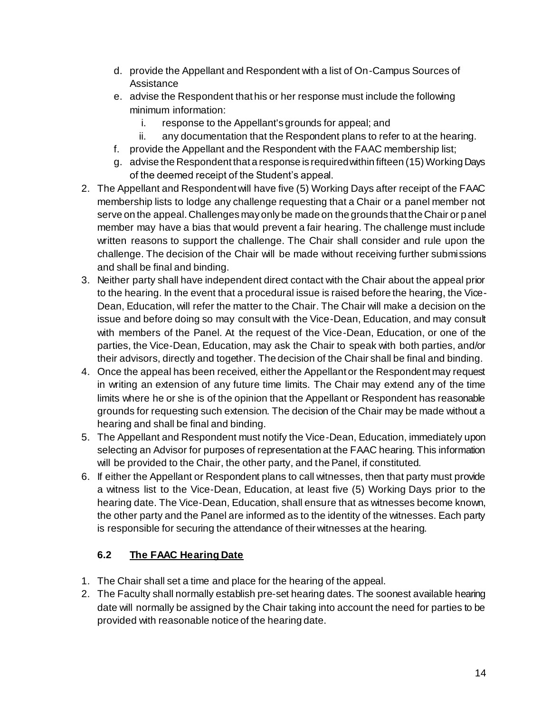- d. provide the Appellant and Respondent with a list of On-Campus Sources of Assistance
- e. advise the Respondent that his or her response must include the following minimum information:
	- i. response to the Appellant's grounds for appeal; and
	- ii. any documentation that the Respondent plans to refer to at the hearing.
- f. provide the Appellant and the Respondent with the FAAC membership list;
- g. advise the Respondent that a response is required within fifteen (15) Working Days of the deemed receipt of the Student's appeal.
- 2. The Appellant and Respondent will have five (5) Working Days after receipt of the FAAC membership lists to lodge any challenge requesting that a Chair or a panel member not serve on the appeal. Challenges may only be made on the grounds that the Chair or panel member may have a bias that would prevent a fair hearing. The challenge must include written reasons to support the challenge. The Chair shall consider and rule upon the challenge. The decision of the Chair will be made without receiving further submissions and shall be final and binding.
- 3. Neither party shall have independent direct contact with the Chair about the appeal prior to the hearing. In the event that a procedural issue is raised before the hearing, the Vice-Dean, Education, will refer the matter to the Chair. The Chair will make a decision on the issue and before doing so may consult with the Vice-Dean, Education, and may consult with members of the Panel. At the request of the Vice-Dean, Education, or one of the parties, the Vice-Dean, Education, may ask the Chair to speak with both parties, and/or their advisors, directly and together. The decision of the Chair shall be final and binding.
- 4. Once the appeal has been received, either the Appellant or the Respondent may request in writing an extension of any future time limits. The Chair may extend any of the time limits where he or she is of the opinion that the Appellant or Respondent has reasonable grounds for requesting such extension. The decision of the Chair may be made without a hearing and shall be final and binding.
- 5. The Appellant and Respondent must notify the Vice-Dean, Education, immediately upon selecting an Advisor for purposes of representation at the FAAC hearing. This information will be provided to the Chair, the other party, and the Panel, if constituted.
- 6. If either the Appellant or Respondent plans to call witnesses, then that party must provide a witness list to the Vice-Dean, Education, at least five (5) Working Days prior to the hearing date. The Vice-Dean, Education, shall ensure that as witnesses become known, the other party and the Panel are informed as to the identity of the witnesses. Each party is responsible for securing the attendance of their witnesses at the hearing.

## **6.2 The FAAC Hearing Date**

- 1. The Chair shall set a time and place for the hearing of the appeal.
- 2. The Faculty shall normally establish pre-set hearing dates. The soonest available hearing date will normally be assigned by the Chair taking into account the need for parties to be provided with reasonable notice of the hearing date.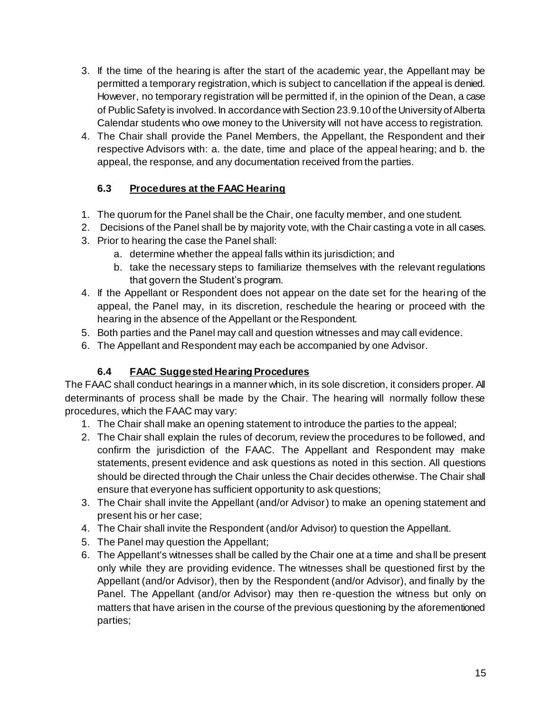- 3. If the time of the hearing is after the start of the academic year, the Appellant may be permitted a temporary registration, which is subject to cancellation if the appeal is denied. However, no temporary registration will be permitted if, in the opinion of the Dean, a case of Public Safety is involved. In accordance with Section 23.9.10 of the University of Alberta Calendar students who owe money to the University will not have access to registration.
- 4. The Chair shall provide the Panel Members, the Appellant, the Respondent and their respective Advisors with: a. the date, time and place of the appeal hearing; and b. the appeal, the response, and any documentation received from the parties.

### **6.3 Procedures at the FAAC Hearing**

- 1. The quorum for the Panel shall be the Chair, one faculty member, and one student.
- 2. Decisions of the Panel shall be by majority vote, with the Chair casting a vote in all cases.
- 3. Prior to hearing the case the Panel shall:
	- a. determine whether the appeal falls within its jurisdiction; and
	- b. take the necessary steps to familiarize themselves with the relevant regulations that govern the Student's program.
- 4. If the Appellant or Respondent does not appear on the date set for the hearing of the appeal, the Panel may, in its discretion, reschedule the hearing or proceed with the hearing in the absence of the Appellant or the Respondent.
- 5. Both parties and the Panel may call and question witnesses and may call evidence.
- 6. The Appellant and Respondent may each be accompanied by one Advisor.

## **6.4 FAAC Suggested Hearing Procedures**

The FAAC shall conduct hearings in a manner which, in its sole discretion, it considers proper. All determinants of process shall be made by the Chair. The hearing will normally follow these procedures, which the FAAC may vary:

- 1. The Chair shall make an opening statement to introduce the parties to the appeal;
- 2. The Chair shall explain the rules of decorum, review the procedures to be followed, and confirm the jurisdiction of the FAAC. The Appellant and Respondent may make statements, present evidence and ask questions as noted in this section. All questions should be directed through the Chair unless the Chair decides otherwise. The Chair shall ensure that everyone has sufficient opportunity to ask questions;
- 3. The Chair shall invite the Appellant (and/or Advisor) to make an opening statement and present his or her case;
- 4. The Chair shall invite the Respondent (and/or Advisor) to question the Appellant.
- 5. The Panel may question the Appellant;
- 6. The Appellant's witnesses shall be called by the Chair one at a time and shall be present only while they are providing evidence. The witnesses shall be questioned first by the Appellant (and/or Advisor), then by the Respondent (and/or Advisor), and finally by the Panel. The Appellant (and/or Advisor) may then re-question the witness but only on matters that have arisen in the course of the previous questioning by the aforementioned parties;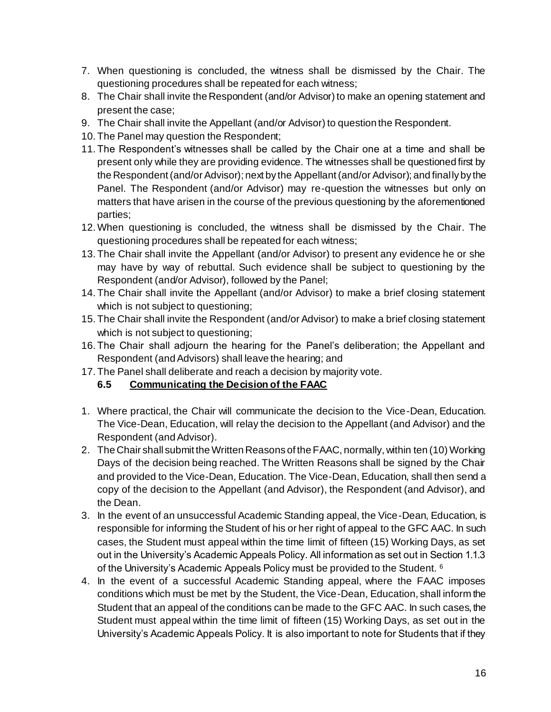- 7. When questioning is concluded, the witness shall be dismissed by the Chair. The questioning procedures shall be repeated for each witness;
- 8. The Chair shall invite the Respondent (and/or Advisor) to make an opening statement and present the case;
- 9. The Chair shall invite the Appellant (and/or Advisor) to question the Respondent.
- 10. The Panel may question the Respondent;
- 11. The Respondent's witnesses shall be called by the Chair one at a time and shall be present only while they are providing evidence. The witnesses shall be questioned first by the Respondent (and/or Advisor); next by the Appellant (and/or Advisor); and finally by the Panel. The Respondent (and/or Advisor) may re-question the witnesses but only on matters that have arisen in the course of the previous questioning by the aforementioned parties;
- 12.When questioning is concluded, the witness shall be dismissed by the Chair. The questioning procedures shall be repeated for each witness;
- 13. The Chair shall invite the Appellant (and/or Advisor) to present any evidence he or she may have by way of rebuttal. Such evidence shall be subject to questioning by the Respondent (and/or Advisor), followed by the Panel;
- 14. The Chair shall invite the Appellant (and/or Advisor) to make a brief closing statement which is not subject to questioning;
- 15. The Chair shall invite the Respondent (and/or Advisor) to make a brief closing statement which is not subject to questioning;
- 16. The Chair shall adjourn the hearing for the Panel's deliberation; the Appellant and Respondent (and Advisors) shall leave the hearing; and
- 17. The Panel shall deliberate and reach a decision by majority vote.

#### **6.5 Communicating the Decision of the FAAC**

- 1. Where practical, the Chair will communicate the decision to the Vice-Dean, Education. The Vice-Dean, Education, will relay the decision to the Appellant (and Advisor) and the Respondent (and Advisor).
- 2. The Chair shall submit the Written Reasons of the FAAC, normally, within ten (10) Working Days of the decision being reached. The Written Reasons shall be signed by the Chair and provided to the Vice-Dean, Education. The Vice-Dean, Education, shall then send a copy of the decision to the Appellant (and Advisor), the Respondent (and Advisor), and the Dean.
- 3. In the event of an unsuccessful Academic Standing appeal, the Vice-Dean, Education, is responsible for informing the Student of his or her right of appeal to the GFC AAC. In such cases, the Student must appeal within the time limit of fifteen (15) Working Days, as set out in the University's Academic Appeals Policy. All information as set out in Section 1.1.3 of the University's Academic Appeals Policy must be provided to the Student. <sup>6</sup>
- 4. In the event of a successful Academic Standing appeal, where the FAAC imposes conditions which must be met by the Student, the Vice-Dean, Education, shall inform the Student that an appeal of the conditions can be made to the GFC AAC. In such cases, the Student must appeal within the time limit of fifteen (15) Working Days, as set out in the University's Academic Appeals Policy. It is also important to note for Students that if they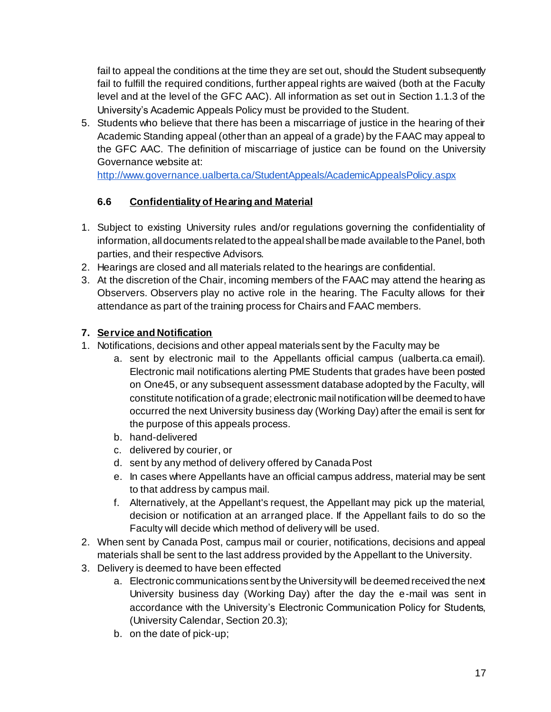fail to appeal the conditions at the time they are set out, should the Student subsequently fail to fulfill the required conditions, further appeal rights are waived (both at the Faculty level and at the level of the GFC AAC). All information as set out in Section 1.1.3 of the University's Academic Appeals Policy must be provided to the Student.

5. Students who believe that there has been a miscarriage of justice in the hearing of their Academic Standing appeal (other than an appeal of a grade) by the FAAC may appeal to the GFC AAC. The definition of miscarriage of justice can be found on the University Governance website at:

<http://www.governance.ualberta.ca/StudentAppeals/AcademicAppealsPolicy.aspx>

### **6.6 Confidentiality of Hearing and Material**

- 1. Subject to existing University rules and/or regulations governing the confidentiality of information, all documents related to the appeal shall be made available to the Panel, both parties, and their respective Advisors.
- 2. Hearings are closed and all materials related to the hearings are confidential.
- 3. At the discretion of the Chair, incoming members of the FAAC may attend the hearing as Observers. Observers play no active role in the hearing. The Faculty allows for their attendance as part of the training process for Chairs and FAAC members.

#### **7. Service and Notification**

- 1. Notifications, decisions and other appeal materials sent by the Faculty may be
	- a. sent by electronic mail to the Appellants official campus (ualberta.ca email). Electronic mail notifications alerting PME Students that grades have been posted on One45, or any subsequent assessment database adopted by the Faculty, will constitute notification of a grade; electronic mail notification will be deemed to have occurred the next University business day (Working Day) after the email is sent for the purpose of this appeals process.
	- b. hand-delivered
	- c. delivered by courier, or
	- d. sent by any method of delivery offered by Canada Post
	- e. In cases where Appellants have an official campus address, material may be sent to that address by campus mail.
	- f. Alternatively, at the Appellant's request, the Appellant may pick up the material, decision or notification at an arranged place. If the Appellant fails to do so the Faculty will decide which method of delivery will be used.
- 2. When sent by Canada Post, campus mail or courier, notifications, decisions and appeal materials shall be sent to the last address provided by the Appellant to the University.
- 3. Delivery is deemed to have been effected
	- a. Electronic communications sent by the University will be deemed received the next University business day (Working Day) after the day the e-mail was sent in accordance with the University's Electronic Communication Policy for Students, (University Calendar, Section 20.3);
	- b. on the date of pick-up;